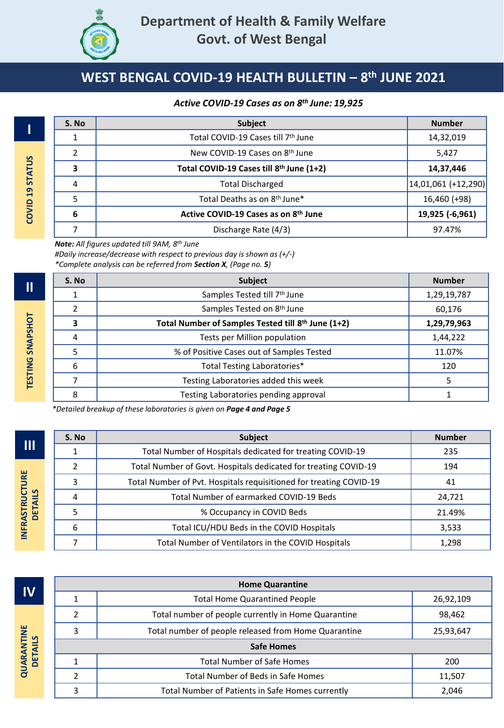

#### *Active COVID-19 Cases as on 8 th June: 19,925*

| S. No          | Subject                                  | <b>Number</b>       |  |  |
|----------------|------------------------------------------|---------------------|--|--|
| 1              | Total COVID-19 Cases till 7th June       |                     |  |  |
| $\overline{2}$ | New COVID-19 Cases on 8th June           | 5,427               |  |  |
| 3              | Total COVID-19 Cases till 8th June (1+2) | 14,37,446           |  |  |
| $\overline{4}$ | <b>Total Discharged</b>                  | 14,01,061 (+12,290) |  |  |
| 5              | Total Deaths as on 8 <sup>th</sup> June* | 16,460 (+98)        |  |  |
| 6              | Active COVID-19 Cases as on 8th June     | 19,925 (-6,961)     |  |  |
|                | Discharge Rate (4/3)                     | 97.47%              |  |  |

*Note: All figures updated till 9AM, 8 th June*

*#Daily increase/decrease with respect to previous day is shown as (+/-)*

*\*Complete analysis can be referred from Section X, (Page no. 5)*

| S. No | <b>Subject</b>                                     | <b>Number</b> |
|-------|----------------------------------------------------|---------------|
|       | Samples Tested till 7 <sup>th</sup> June           | 1,29,19,787   |
|       | Samples Tested on 8 <sup>th</sup> June             | 60,176        |
|       | Total Number of Samples Tested till 8th June (1+2) | 1,29,79,963   |
| 4     | Tests per Million population                       | 1,44,222      |
|       | % of Positive Cases out of Samples Tested          | 11.07%        |
| 6     | Total Testing Laboratories*                        | 120           |
|       | Testing Laboratories added this week               | 5             |
| 8     | Testing Laboratories pending approval              |               |

*\*Detailed breakup of these laboratories is given on Page 4 and Page 5*

|                | S. No | <b>Subject</b>                                                     |        |  |  |  |  |
|----------------|-------|--------------------------------------------------------------------|--------|--|--|--|--|
| Π              |       | Total Number of Hospitals dedicated for treating COVID-19          | 235    |  |  |  |  |
| <b>DETAILS</b> | 2     | Total Number of Govt. Hospitals dedicated for treating COVID-19    |        |  |  |  |  |
|                | 3     | Total Number of Pvt. Hospitals requisitioned for treating COVID-19 | 41     |  |  |  |  |
|                | 4     | Total Number of earmarked COVID-19 Beds                            | 24,721 |  |  |  |  |
|                |       | % Occupancy in COVID Beds                                          | 21.49% |  |  |  |  |
|                | 6     | Total ICU/HDU Beds in the COVID Hospitals                          | 3,533  |  |  |  |  |
|                |       | Total Number of Ventilators in the COVID Hospitals                 | 1,298  |  |  |  |  |

**IV**

| IV.                          |                                                           | <b>Total Home Quarantined People</b>                | 26,92,109 |
|------------------------------|-----------------------------------------------------------|-----------------------------------------------------|-----------|
| <b>QUARANTINE</b><br>DETAILS |                                                           | Total number of people currently in Home Quarantine | 98,462    |
|                              | Total number of people released from Home Quarantine<br>з |                                                     | 25,93,647 |
|                              |                                                           | <b>Safe Homes</b>                                   |           |
|                              |                                                           | <b>Total Number of Safe Homes</b>                   | 200       |
|                              |                                                           | <b>Total Number of Beds in Safe Homes</b>           | 11,507    |
|                              | $\mathbf{D}$                                              | Total Number of Patients in Safe Homes currently    | 2,046     |
|                              |                                                           |                                                     |           |

**Home Quarantine**

**I**

**II**

**III**

INFRASTRUCTURE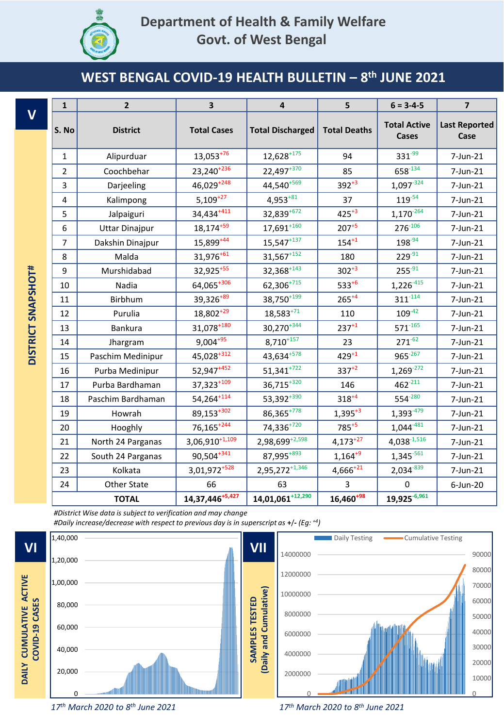

|                         | $\mathbf 1$    | $\overline{2}$        | 3                      | 4                        | 5                   | $6 = 3 - 4 - 5$                     | $\overline{\mathbf{z}}$      |
|-------------------------|----------------|-----------------------|------------------------|--------------------------|---------------------|-------------------------------------|------------------------------|
| $\overline{\mathsf{V}}$ | S. No          | <b>District</b>       | <b>Total Cases</b>     | <b>Total Discharged</b>  | <b>Total Deaths</b> | <b>Total Active</b><br><b>Cases</b> | <b>Last Reported</b><br>Case |
|                         | $\mathbf{1}$   | Alipurduar            | $13,053^{+76}$         | $12,628^{+175}$          | 94                  | $331^{-99}$                         | 7-Jun-21                     |
|                         | $\overline{2}$ | Coochbehar            | 23,240 <sup>+236</sup> | $22,497^{+370}$          | 85                  | 658-134                             | 7-Jun-21                     |
|                         | 3              | Darjeeling            | 46,029+248             | 44,540+569               | $392^{+3}$          | $1,097 - 324$                       | 7-Jun-21                     |
|                         | 4              | Kalimpong             | $5,109^{+27}$          | $4,953^{+81}$            | 37                  | $119^{-54}$                         | 7-Jun-21                     |
|                         | 5              | Jalpaiguri            | 34,434 <sup>+411</sup> | 32,839+672               | $425^{+3}$          | $1,170^{-264}$                      | 7-Jun-21                     |
|                         | 6              | <b>Uttar Dinajpur</b> | $18,174^{+59}$         | $17,691^{+160}$          | $207+5$             | $276^{-106}$                        | 7-Jun-21                     |
|                         | $\overline{7}$ | Dakshin Dinajpur      | $15,899^{+44}$         | $15,547$ <sup>+137</sup> | $154^{+1}$          | $198 - 94$                          | 7-Jun-21                     |
|                         | 8              | Malda                 | $31,976^{+61}$         | $31,567^{+152}$          | 180                 | $229^{-91}$                         | 7-Jun-21                     |
|                         | 9              | Murshidabad           | 32,925+55              | $32,368^{+143}$          | $302^{+3}$          | $255 - 91$                          | 7-Jun-21                     |
| DISTRICT SNAPSHOT#      | 10             | Nadia                 | 64,065+306             | 62,306+715               | $533^{+6}$          | $1,226^{-415}$                      | 7-Jun-21                     |
|                         | 11             | Birbhum               | 39,326+89              | $38,750^{+199}$          | $265^{+4}$          | $311^{-114}$                        | 7-Jun-21                     |
|                         | 12             | Purulia               | $18,802^{+29}$         | $18,583^{+71}$           | 110                 | $109^{-42}$                         | 7-Jun-21                     |
|                         | 13             | <b>Bankura</b>        | 31,078+180             | $30,270^{+344}$          | $237^{+1}$          | $571^{-165}$                        | 7-Jun-21                     |
|                         | 14             | Jhargram              | $9,004+95$             | $8,710^{+157}$           | 23                  | $271^{-62}$                         | 7-Jun-21                     |
|                         | 15             | Paschim Medinipur     | $45,028^{+312}$        | 43,634+578               | $429^{+1}$          | $965 - 267$                         | 7-Jun-21                     |
|                         | 16             | Purba Medinipur       | 52,947 <sup>+452</sup> | $51,341^{+722}$          | $337^{+2}$          | $1,269 - 272$                       | 7-Jun-21                     |
|                         | 17             | Purba Bardhaman       | 37,323+109             | $36,715^{+320}$          | 146                 | $462^{-211}$                        | 7-Jun-21                     |
|                         | 18             | Paschim Bardhaman     | 54,264 + 114           | 53,392+390               | $318^{+4}$          | $554 - 280$                         | 7-Jun-21                     |
|                         | 19             | Howrah                | 89,153+302             | $86,365^{+778}$          | $1,395+3$           | $1,393 - 479$                       | 7-Jun-21                     |
|                         | 20             | Hooghly               | $76,165+244$           | 74,336+720               | 785+5               | $1,044^{-481}$                      | 7-Jun-21                     |
|                         | 21             | North 24 Parganas     | $3,06,910^{+1,109}$    | 2,98,699+2,598           | $4,173^{+27}$       | $4,038^{-1,516}$                    | 7-Jun-21                     |
|                         | 22             | South 24 Parganas     | 90,504+341             | 87,995+893               | $1,164^{+9}$        | $1,345 - 561$                       | 7-Jun-21                     |
|                         | 23             | Kolkata               | $3,01,972^{+528}$      | $2,95,272^{+1,346}$      | $4,666^{+21}$       | $2,034 - 839$                       | 7-Jun-21                     |
|                         | 24             | Other State           | 66                     | 63                       | 3                   | $\pmb{0}$                           | 6-Jun-20                     |
|                         |                | <b>TOTAL</b>          | $14,37,446^{+5,427}$   | $14,01,061^{+12,290}$    | $16,460^{+98}$      | 19,925-6,961                        |                              |

*#District Wise data is subject to verification and may change #Daily increase/decrease with respect to previous day is in superscript as* **+**/**-** *(Eg: +4)*



*th March 2020 to 8 th June 2021*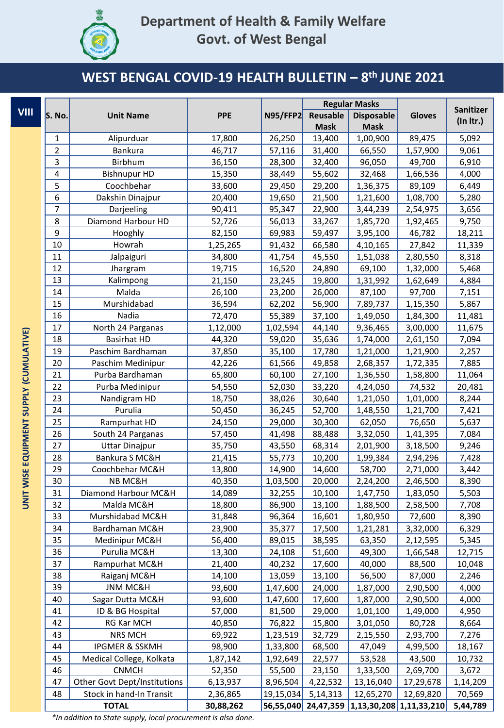

# **Department of Health & Family Welfare Govt. of West Bengal**

#### **WEST BENGAL COVID-19 HEALTH BULLETIN – 8 th JUNE 2021**

|                                         | S. No.   | <b>PPE</b><br><b>Unit Name</b>           |                    | <b>Regular Masks</b> |                      |                         |                    |                    |
|-----------------------------------------|----------|------------------------------------------|--------------------|----------------------|----------------------|-------------------------|--------------------|--------------------|
| <b>VIII</b>                             |          |                                          |                    | <b>N95/FFP2</b>      | Reusable             | <b>Disposable</b>       | <b>Gloves</b>      | Sanitizer          |
|                                         |          |                                          |                    |                      | <b>Mask</b>          | <b>Mask</b>             |                    | (ln Itr.)          |
|                                         | 1        | Alipurduar                               | 17,800             | 26,250               | 13,400               | 1,00,900                | 89,475             | 5,092              |
|                                         | 2        | Bankura                                  | 46,717             | 57,116               | 31,400               | 66,550                  | 1,57,900           | 9,061              |
|                                         | 3        | Birbhum                                  | 36,150             | 28,300               | 32,400               | 96,050                  | 49,700             | 6,910              |
|                                         | 4        | <b>Bishnupur HD</b>                      | 15,350             | 38,449               | 55,602               | 32,468                  | 1,66,536           | 4,000              |
|                                         | 5        | Coochbehar                               | 33,600             | 29,450               | 29,200               | 1,36,375                | 89,109             | 6,449              |
|                                         | 6        | Dakshin Dinajpur                         | 20,400             | 19,650               | 21,500               | 1,21,600                | 1,08,700           | 5,280              |
|                                         | 7        | Darjeeling                               | 90,411             | 95,347               | 22,900               | 3,44,239                | 2,54,975           | 3,656              |
|                                         | 8        | Diamond Harbour HD                       | 52,726             | 56,013               | 33,267               | 1,85,720                | 1,92,465           | 9,750              |
|                                         | 9        | Hooghly                                  | 82,150             | 69,983               | 59,497               | 3,95,100                | 46,782             | 18,211             |
|                                         | 10       | Howrah                                   | 1,25,265           | 91,432               | 66,580               | 4,10,165                | 27,842             | 11,339             |
|                                         | $11\,$   | Jalpaiguri                               | 34,800             | 41,754               | 45,550               | 1,51,038                | 2,80,550           | 8,318              |
|                                         | 12       | Jhargram                                 | 19,715             | 16,520               | 24,890               | 69,100                  | 1,32,000           | 5,468              |
|                                         | 13       | Kalimpong                                | 21,150             | 23,245               | 19,800               | 1,31,992                | 1,62,649           | 4,884              |
|                                         | 14       | Malda                                    | 26,100             | 23,200               | 26,000               | 87,100                  | 97,700             | 7,151              |
|                                         | 15       | Murshidabad                              | 36,594             | 62,202               | 56,900               | 7,89,737                | 1,15,350           | 5,867              |
|                                         | 16       | Nadia                                    | 72,470             | 55,389               | 37,100               | 1,49,050                | 1,84,300           | 11,481             |
|                                         | 17       | North 24 Parganas                        | 1,12,000           | 1,02,594             | 44,140               | 9,36,465                | 3,00,000           | 11,675             |
|                                         | 18       | <b>Basirhat HD</b>                       | 44,320             | 59,020               | 35,636               | 1,74,000                | 2,61,150           | 7,094              |
|                                         | 19       | Paschim Bardhaman                        | 37,850             | 35,100               | 17,780               | 1,21,000                | 1,21,900           | 2,257              |
|                                         | 20       | Paschim Medinipur                        | 42,226             | 61,566               | 49,858               | 2,68,357                | 1,72,335           | 7,885              |
|                                         | 21       | Purba Bardhaman                          | 65,800             | 60,100               | 27,100               | 1,36,550                | 1,58,800           | 11,064             |
| UNIT WISE EQUIPMENT SUPPLY (CUMULATIVE) | 22       | Purba Medinipur                          | 54,550             | 52,030               | 33,220               | 4,24,050                | 74,532             | 20,481             |
|                                         | 23       | Nandigram HD                             | 18,750             | 38,026               | 30,640               | 1,21,050                | 1,01,000           | 8,244              |
|                                         | 24       | Purulia                                  | 50,450             | 36,245               | 52,700               | 1,48,550                | 1,21,700           | 7,421              |
|                                         | 25       | Rampurhat HD                             | 24,150             | 29,000               | 30,300               | 62,050                  | 76,650             | 5,637              |
|                                         | 26       | South 24 Parganas                        | 57,450             | 41,498               | 88,488               | 3,32,050                | 1,41,395           | 7,084              |
|                                         | 27       | <b>Uttar Dinajpur</b>                    | 35,750             | 43,550               | 68,314               | 2,01,900                | 3,18,500           | 9,246              |
|                                         | 28       | Bankura S MC&H                           | 21,415             | 55,773               | 10,200               | 1,99,384                | 2,94,296           | 7,428              |
|                                         | 29       | Coochbehar MC&H                          | 13,800             | 14,900               | 14,600               | 58,700                  | 2,71,000           | 3,442              |
|                                         | 30       | NB MC&H                                  | 40,350             | 1,03,500             | 20,000               | 2,24,200                | 2,46,500           | 8,390              |
|                                         | 31       | Diamond Harbour MC&H                     | 14,089             | 32,255               | 10,100               | 1,47,750                | 1,83,050           | 5,503              |
|                                         | 32       | Malda MC&H                               | 18,800             | 86,900               | 13,100               | 1,88,500                | 2,58,500           | 7,708              |
|                                         | 33       | Murshidabad MC&H                         | 31,848             | 96,364               | 16,601               | 1,80,950                | 72,600             | 8,390              |
|                                         | 34       | Bardhaman MC&H                           | 23,900             | 35,377               | 17,500               | 1,21,281                | 3,32,000           | 6,329              |
|                                         | 35       | Medinipur MC&H                           | 56,400             | 89,015               | 38,595               | 63,350                  | 2,12,595           | 5,345              |
|                                         | 36       | Purulia MC&H                             | 13,300             | 24,108               | 51,600               | 49,300                  | 1,66,548           | 12,715             |
|                                         | 37       | Rampurhat MC&H                           | 21,400             | 40,232               | 17,600               | 40,000                  | 88,500             | 10,048             |
|                                         | 38       | Raiganj MC&H                             | 14,100             | 13,059               | 13,100               | 56,500                  | 87,000             | 2,246              |
|                                         | 39<br>40 | <b>JNM MC&amp;H</b>                      | 93,600             | 1,47,600             | 24,000               | 1,87,000                | 2,90,500           | 4,000              |
|                                         |          | Sagar Dutta MC&H                         | 93,600             | 1,47,600             | 17,600               | 1,87,000                | 2,90,500           | 4,000              |
|                                         | 41       | ID & BG Hospital                         | 57,000             | 81,500               | 29,000               | 1,01,100                | 1,49,000           | 4,950              |
|                                         | 42       | RG Kar MCH                               | 40,850             | 76,822               | 15,800               | 3,01,050                | 80,728             | 8,664              |
|                                         | 43<br>44 | NRS MCH<br><b>IPGMER &amp; SSKMH</b>     | 69,922             | 1,23,519             | 32,729               | 2,15,550                | 2,93,700           | 7,276              |
|                                         | 45       |                                          | 98,900             | 1,33,800             | 68,500               | 47,049                  | 4,99,500           | 18,167             |
|                                         | 46       | Medical College, Kolkata<br><b>CNMCH</b> | 1,87,142<br>52,350 | 1,92,649<br>55,500   | 22,577               | 53,528                  | 43,500<br>2,69,700 | 10,732<br>3,672    |
|                                         | 47       | <b>Other Govt Dept/Institutions</b>      | 6,13,937           | 8,96,504             | 23,150               | 1,33,500<br>13,16,040   |                    |                    |
|                                         | 48       | Stock in hand-In Transit                 | 2,36,865           | 19,15,034            | 4,22,532<br>5,14,313 | 12,65,270               | 17,29,678          | 1,14,209           |
|                                         |          | <b>TOTAL</b>                             | 30,88,262          | 56,55,040            | 24,47,359            | 1,13,30,208 1,11,33,210 | 12,69,820          | 70,569<br>5,44,789 |
|                                         |          |                                          |                    |                      |                      |                         |                    |                    |

*\*In addition to State supply, local procurement is also done.*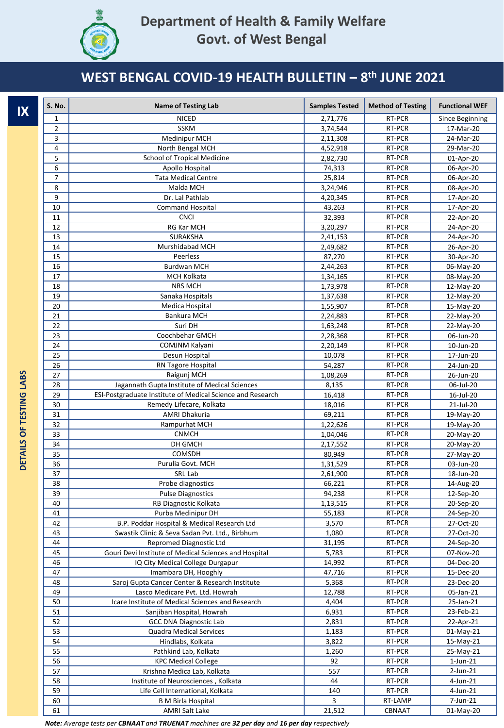

| IX                      | <b>S. No.</b>  | <b>Name of Testing Lab</b>                                 | <b>Samples Tested</b> | <b>Method of Testing</b> | <b>Functional WEF</b>  |
|-------------------------|----------------|------------------------------------------------------------|-----------------------|--------------------------|------------------------|
|                         | 1              | <b>NICED</b>                                               | 2,71,776              | RT-PCR                   | Since Beginning        |
|                         | $\overline{2}$ | <b>SSKM</b>                                                | 3,74,544              | RT-PCR                   | 17-Mar-20              |
|                         | 3              | Medinipur MCH                                              | 2,11,308              | RT-PCR                   | 24-Mar-20              |
|                         | 4              | North Bengal MCH                                           | 4,52,918              | RT-PCR                   | 29-Mar-20              |
|                         | 5              | School of Tropical Medicine                                | 2,82,730              | RT-PCR                   | $01$ -Apr-20           |
|                         | 6              | Apollo Hospital                                            | 74,313                | RT-PCR                   | 06-Apr-20              |
|                         | $\overline{7}$ | <b>Tata Medical Centre</b>                                 | 25,814                | RT-PCR                   | 06-Apr-20              |
|                         | 8              | Malda MCH                                                  | 3,24,946              | RT-PCR                   | 08-Apr-20              |
|                         | 9              | Dr. Lal Pathlab                                            | 4,20,345              | RT-PCR                   | 17-Apr-20              |
|                         | 10             | <b>Command Hospital</b>                                    | 43,263                | RT-PCR                   | 17-Apr-20              |
|                         | 11             | <b>CNCI</b>                                                | 32,393                | RT-PCR                   | 22-Apr-20              |
|                         | 12             | RG Kar MCH                                                 | 3,20,297              | RT-PCR                   | 24-Apr-20              |
|                         | 13             | SURAKSHA                                                   | 2,41,153              | RT-PCR                   | 24-Apr-20              |
|                         | 14             | Murshidabad MCH                                            | 2,49,682              | RT-PCR                   | 26-Apr-20              |
|                         | 15             | Peerless                                                   | 87,270                | RT-PCR                   | 30-Apr-20              |
|                         | 16             | <b>Burdwan MCH</b>                                         | 2,44,263              | RT-PCR                   | 06-May-20              |
|                         | 17             | MCH Kolkata                                                | 1,34,165              | RT-PCR                   | 08-May-20              |
|                         | 18             | <b>NRS MCH</b>                                             | 1,73,978              | RT-PCR                   | 12-May-20              |
|                         | 19             | Sanaka Hospitals                                           | 1,37,638              | RT-PCR                   | 12-May-20              |
|                         | 20             | Medica Hospital                                            | 1,55,907              | RT-PCR                   | 15-May-20              |
|                         | 21             | Bankura MCH                                                | 2,24,883              | RT-PCR                   | 22-May-20              |
|                         | 22             | Suri DH                                                    | 1,63,248              | RT-PCR                   | 22-May-20              |
|                         | 23             | Coochbehar GMCH                                            | 2,28,368              | RT-PCR                   | 06-Jun-20              |
|                         | 24             | COMJNM Kalyani                                             | 2,20,149              | RT-PCR                   | 10-Jun-20              |
|                         | 25             | Desun Hospital                                             | 10,078                | RT-PCR                   | 17-Jun-20              |
|                         | 26             | RN Tagore Hospital                                         | 54,287                | RT-PCR                   | 24-Jun-20              |
| DETAILS OF TESTING LABS | 27             | Raigunj MCH                                                | 1,08,269              | RT-PCR                   | 26-Jun-20              |
|                         | 28             | Jagannath Gupta Institute of Medical Sciences              | 8,135                 | RT-PCR                   | 06-Jul-20              |
|                         | 29             | ESI-Postgraduate Institute of Medical Science and Research | 16,418                | RT-PCR                   | 16-Jul-20              |
|                         | 30<br>31       | Remedy Lifecare, Kolkata<br><b>AMRI Dhakuria</b>           | 18,016                | RT-PCR<br>RT-PCR         | 21-Jul-20              |
|                         | 32             | Rampurhat MCH                                              | 69,211<br>1,22,626    | RT-PCR                   | 19-May-20<br>19-May-20 |
|                         | 33             | <b>CNMCH</b>                                               | 1,04,046              | RT-PCR                   | 20-May-20              |
|                         | 34             | DH GMCH                                                    | 2,17,552              | RT-PCR                   | 20-May-20              |
|                         | 35             | COMSDH                                                     | 80,949                | RT-PCR                   | 27-May-20              |
|                         | 36             | Purulia Govt. MCH                                          | 1,31,529              | RT-PCR                   | 03-Jun-20              |
|                         | 37             | SRL Lab                                                    | 2,61,900              | RT-PCR                   | 18-Jun-20              |
|                         | 38             | Probe diagnostics                                          | 66,221                | RT-PCR                   | 14-Aug-20              |
|                         | 39             | <b>Pulse Diagnostics</b>                                   | 94,238                | RT-PCR                   | 12-Sep-20              |
|                         | 40             | RB Diagnostic Kolkata                                      | 1,13,515              | RT-PCR                   | 20-Sep-20              |
|                         | 41             | Purba Medinipur DH                                         | 55,183                | RT-PCR                   | 24-Sep-20              |
|                         | 42             | B.P. Poddar Hospital & Medical Research Ltd                | 3,570                 | RT-PCR                   | 27-Oct-20              |
|                         | 43             | Swastik Clinic & Seva Sadan Pvt. Ltd., Birbhum             | 1,080                 | RT-PCR                   | 27-Oct-20              |
|                         | 44             | Repromed Diagnostic Ltd                                    | 31,195                | RT-PCR                   | 24-Sep-20              |
|                         | 45             | Gouri Devi Institute of Medical Sciences and Hospital      | 5,783                 | RT-PCR                   | 07-Nov-20              |
|                         | 46             | IQ City Medical College Durgapur                           | 14,992                | RT-PCR                   | 04-Dec-20              |
|                         | 47             | Imambara DH, Hooghly                                       | 47,716                | RT-PCR                   | 15-Dec-20              |
|                         | 48             | Saroj Gupta Cancer Center & Research Institute             | 5,368                 | RT-PCR                   | 23-Dec-20              |
|                         | 49             | Lasco Medicare Pvt. Ltd. Howrah                            | 12,788                | RT-PCR                   | 05-Jan-21              |
|                         | 50             | Icare Institute of Medical Sciences and Research           | 4,404                 | RT-PCR                   | 25-Jan-21              |
|                         | 51             | Sanjiban Hospital, Howrah                                  | 6,931                 | RT-PCR                   | 23-Feb-21              |
|                         | 52             | <b>GCC DNA Diagnostic Lab</b>                              | 2,831                 | RT-PCR                   | 22-Apr-21              |
|                         | 53             | Quadra Medical Services                                    | 1,183                 | RT-PCR                   | 01-May-21              |
|                         | 54             | Hindlabs, Kolkata                                          | 3,822                 | RT-PCR                   | 15-May-21              |
|                         | 55             | Pathkind Lab, Kolkata                                      | 1,260                 | RT-PCR                   | 25-May-21              |
|                         | 56             | <b>KPC Medical College</b>                                 | 92                    | RT-PCR                   | 1-Jun-21               |
|                         | 57             | Krishna Medica Lab, Kolkata                                | 557                   | RT-PCR                   | 2-Jun-21               |
|                         | 58             | Institute of Neurosciences, Kolkata                        | 44                    | RT-PCR                   | 4-Jun-21               |
|                         | 59             | Life Cell International, Kolkata                           | 140                   | RT-PCR                   | 4-Jun-21               |
|                         | 60             | <b>B</b> M Birla Hospital                                  | 3                     | RT-LAMP                  | 7-Jun-21               |
|                         | 61             | <b>AMRI Salt Lake</b>                                      | 21,512                | CBNAAT                   | 01-May-20              |

*Note: Average tests per CBNAAT and TRUENAT machines are 32 per day and 16 per day respectively*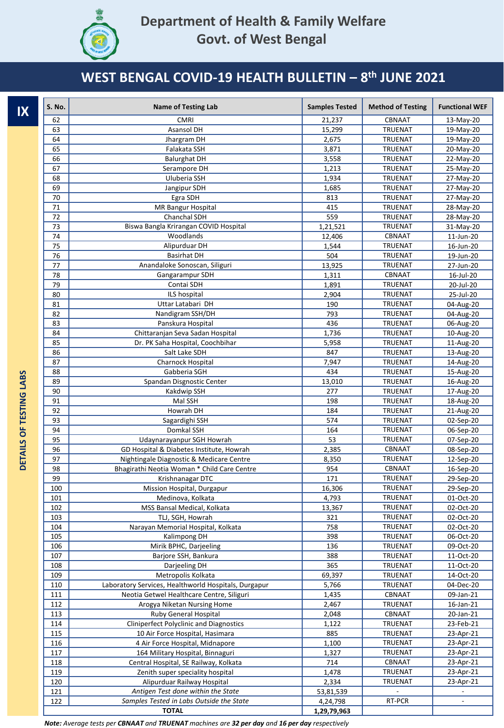

| IX                      | S. No.     | <b>Name of Testing Lab</b>                                                | <b>Samples Tested</b> | <b>Method of Testing</b>         | <b>Functional WEF</b>    |
|-------------------------|------------|---------------------------------------------------------------------------|-----------------------|----------------------------------|--------------------------|
|                         | 62         | <b>CMRI</b>                                                               | 21,237                | CBNAAT                           | 13-May-20                |
|                         | 63         | Asansol DH                                                                | 15,299                | <b>TRUENAT</b>                   | 19-May-20                |
|                         | 64         | Jhargram DH                                                               | 2,675                 | <b>TRUENAT</b>                   | 19-May-20                |
|                         | 65         | Falakata SSH                                                              | 3,871                 | <b>TRUENAT</b>                   | 20-May-20                |
|                         | 66         | <b>Balurghat DH</b>                                                       | 3,558                 | <b>TRUENAT</b>                   | 22-May-20                |
|                         | 67         | Serampore DH                                                              | 1,213                 | <b>TRUENAT</b>                   | 25-May-20                |
|                         | 68         | Uluberia SSH                                                              | 1,934                 | <b>TRUENAT</b>                   | 27-May-20                |
|                         | 69         | Jangipur SDH<br>Egra SDH                                                  | 1,685                 | TRUENAT                          | 27-May-20                |
|                         | 70<br>71   | <b>MR Bangur Hospital</b>                                                 | 813<br>415            | <b>TRUENAT</b><br><b>TRUENAT</b> | 27-May-20                |
|                         | 72         | Chanchal SDH                                                              | 559                   | TRUENAT                          | 28-May-20<br>28-May-20   |
|                         | 73         | Biswa Bangla Krirangan COVID Hospital                                     | 1,21,521              | <b>TRUENAT</b>                   | 31-May-20                |
|                         | 74         | Woodlands                                                                 | 12,406                | CBNAAT                           | 11-Jun-20                |
|                         | 75         | Alipurduar DH                                                             | 1,544                 | <b>TRUENAT</b>                   | 16-Jun-20                |
|                         | 76         | <b>Basirhat DH</b>                                                        | 504                   | <b>TRUENAT</b>                   | 19-Jun-20                |
|                         | 77         | Anandaloke Sonoscan, Siliguri                                             | 13,925                | <b>TRUENAT</b>                   | 27-Jun-20                |
|                         | 78         | Gangarampur SDH                                                           | 1,311                 | CBNAAT                           | 16-Jul-20                |
|                         | 79         | Contai SDH                                                                | 1,891                 | <b>TRUENAT</b>                   | 20-Jul-20                |
|                         | 80         | ILS hospital                                                              | 2,904                 | <b>TRUENAT</b>                   | 25-Jul-20                |
|                         | 81         | Uttar Latabari DH                                                         | 190                   | <b>TRUENAT</b>                   | 04-Aug-20                |
|                         | 82         | Nandigram SSH/DH                                                          | 793                   | <b>TRUENAT</b>                   | 04-Aug-20                |
|                         | 83         | Panskura Hospital                                                         | 436                   | <b>TRUENAT</b>                   | 06-Aug-20                |
|                         | 84         | Chittaranjan Seva Sadan Hospital                                          | 1,736                 | <b>TRUENAT</b>                   | 10-Aug-20                |
|                         | 85         | Dr. PK Saha Hospital, Coochbihar                                          | 5,958                 | <b>TRUENAT</b>                   | 11-Aug-20                |
|                         | 86         | Salt Lake SDH                                                             | 847                   | <b>TRUENAT</b>                   | 13-Aug-20                |
|                         | 87         | <b>Charnock Hospital</b>                                                  | 7,947                 | <b>TRUENAT</b>                   | 14-Aug-20                |
|                         | 88         | Gabberia SGH                                                              | 434                   | <b>TRUENAT</b>                   | 15-Aug-20                |
|                         | 89         | Spandan Disgnostic Center                                                 | 13,010                | <b>TRUENAT</b>                   | 16-Aug-20                |
|                         | 90         | Kakdwip SSH                                                               | 277                   | <b>TRUENAT</b>                   | 17-Aug-20                |
|                         | 91         | Mal SSH                                                                   | 198                   | <b>TRUENAT</b>                   | 18-Aug-20                |
| DETAILS OF TESTING LABS | 92         | Howrah DH                                                                 | 184                   | <b>TRUENAT</b>                   | 21-Aug-20                |
|                         | 93         | Sagardighi SSH                                                            | 574                   | <b>TRUENAT</b>                   | 02-Sep-20                |
|                         | 94<br>95   | Domkal SSH<br>Udaynarayanpur SGH Howrah                                   | 164<br>53             | <b>TRUENAT</b><br><b>TRUENAT</b> | 06-Sep-20<br>07-Sep-20   |
|                         | 96         | GD Hospital & Diabetes Institute, Howrah                                  | 2,385                 | CBNAAT                           | 08-Sep-20                |
|                         | 97         | Nightingale Diagnostic & Medicare Centre                                  | 8,350                 | <b>TRUENAT</b>                   | 12-Sep-20                |
|                         | 98         | Bhagirathi Neotia Woman * Child Care Centre                               | 954                   | CBNAAT                           | 16-Sep-20                |
|                         | 99         | Krishnanagar DTC                                                          | 171                   | <b>TRUENAT</b>                   | 29-Sep-20                |
|                         | 100        | Mission Hospital, Durgapur                                                | 16,306                | TRUENAT                          | 29-Sep-20                |
|                         | 101        | Medinova, Kolkata                                                         | 4,793                 | <b>TRUENAT</b>                   | 01-Oct-20                |
|                         | 102        | MSS Bansal Medical, Kolkata                                               | 13,367                | <b>TRUENAT</b>                   | 02-Oct-20                |
|                         | 103        | TLJ, SGH, Howrah                                                          | 321                   | <b>TRUENAT</b>                   | 02-Oct-20                |
|                         | 104        | Narayan Memorial Hospital, Kolkata                                        | 758                   | TRUENAT                          | 02-Oct-20                |
|                         | 105        | Kalimpong DH                                                              | 398                   | <b>TRUENAT</b>                   | 06-Oct-20                |
|                         | 106        | Mirik BPHC, Darjeeling                                                    | 136                   | TRUENAT                          | 09-Oct-20                |
|                         | 107        | Barjore SSH, Bankura                                                      | 388                   | TRUENAT                          | 11-Oct-20                |
|                         | 108        | Darjeeling DH                                                             | 365                   | TRUENAT                          | 11-Oct-20                |
|                         | 109        | Metropolis Kolkata                                                        | 69,397                | TRUENAT                          | 14-Oct-20                |
|                         | 110        | Laboratory Services, Healthworld Hospitals, Durgapur                      | 5,766                 | TRUENAT                          | 04-Dec-20                |
|                         | 111        | Neotia Getwel Healthcare Centre, Siliguri                                 | 1,435                 | CBNAAT                           | 09-Jan-21                |
|                         | 112        | Arogya Niketan Nursing Home                                               | 2,467                 | TRUENAT                          | 16-Jan-21                |
|                         | 113        | Ruby General Hospital                                                     | 2,048                 | CBNAAT                           | 20-Jan-21                |
|                         | 114        | <b>Cliniperfect Polyclinic and Diagnostics</b>                            | 1,122                 | TRUENAT                          | 23-Feb-21                |
|                         | 115        | 10 Air Force Hospital, Hasimara                                           | 885                   | TRUENAT                          | 23-Apr-21                |
|                         | 116        | 4 Air Force Hospital, Midnapore                                           | 1,100                 | <b>TRUENAT</b><br>TRUENAT        | 23-Apr-21                |
|                         | 117<br>118 | 164 Military Hospital, Binnaguri<br>Central Hospital, SE Railway, Kolkata | 1,327<br>714          | CBNAAT                           | 23-Apr-21<br>23-Apr-21   |
|                         | 119        | Zenith super speciality hospital                                          | 1,478                 | TRUENAT                          | 23-Apr-21                |
|                         | 120        | Alipurduar Railway Hospital                                               | 2,334                 | TRUENAT                          | 23-Apr-21                |
|                         | 121        | Antigen Test done within the State                                        | 53,81,539             |                                  |                          |
|                         | 122        | Samples Tested in Labs Outside the State                                  | 4,24,798              | RT-PCR                           | $\overline{\phantom{a}}$ |
|                         |            | <b>TOTAL</b>                                                              | 1,29,79,963           |                                  |                          |

*Note: Average tests per CBNAAT and TRUENAT machines are 32 per day and 16 per day respectively*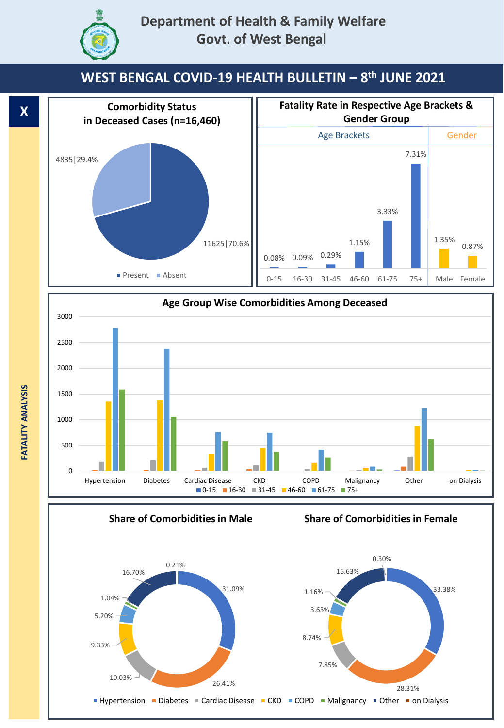





**Share of Comorbidities in Male**

**Share of Comorbidities in Female**